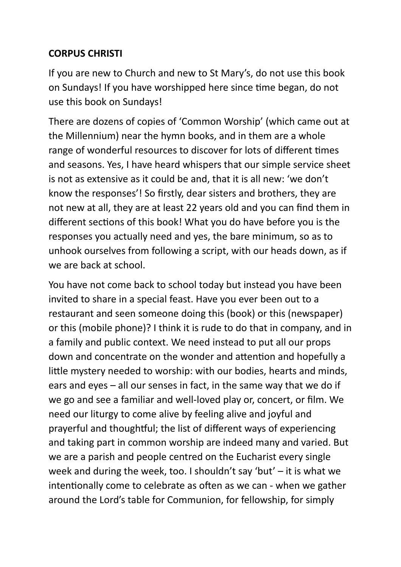## **CORPUS CHRISTI**

If you are new to Church and new to St Mary's, do not use this book on Sundays! If you have worshipped here since time began, do not use this book on Sundays!

There are dozens of copies of 'Common Worship' (which came out at the Millennium) near the hymn books, and in them are a whole range of wonderful resources to discover for lots of different times and seasons. Yes, I have heard whispers that our simple service sheet is not as extensive as it could be and, that it is all new: 'we don't know the responses'! So firstly, dear sisters and brothers, they are not new at all, they are at least 22 years old and you can find them in different sections of this book! What you do have before you is the responses you actually need and yes, the bare minimum, so as to unhook ourselves from following a script, with our heads down, as if we are back at school.

You have not come back to school today but instead you have been invited to share in a special feast. Have you ever been out to a restaurant and seen someone doing this (book) or this (newspaper) or this (mobile phone)? I think it is rude to do that in company, and in a family and public context. We need instead to put all our props down and concentrate on the wonder and attention and hopefully a little mystery needed to worship: with our bodies, hearts and minds, ears and eyes – all our senses in fact, in the same way that we do if we go and see a familiar and well-loved play or, concert, or film. We need our liturgy to come alive by feeling alive and joyful and prayerful and thoughtful; the list of different ways of experiencing and taking part in common worship are indeed many and varied. But we are a parish and people centred on the Eucharist every single week and during the week, too. I shouldn't say 'but' – it is what we intentionally come to celebrate as often as we can - when we gather around the Lord's table for Communion, for fellowship, for simply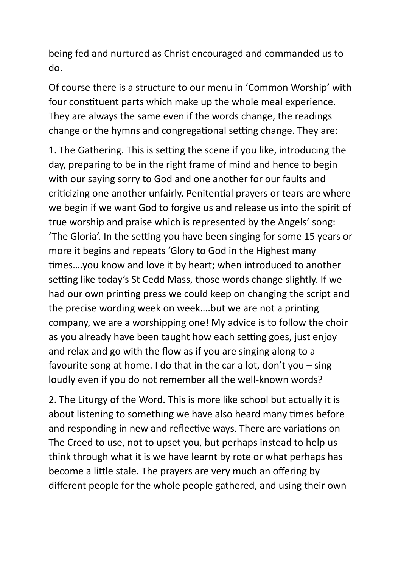being fed and nurtured as Christ encouraged and commanded us to do.

Of course there is a structure to our menu in 'Common Worship' with four constituent parts which make up the whole meal experience. They are always the same even if the words change, the readings change or the hymns and congregational setting change. They are:

1. The Gathering. This is setting the scene if you like, introducing the day, preparing to be in the right frame of mind and hence to begin with our saying sorry to God and one another for our faults and criticizing one another unfairly. Penitential prayers or tears are where we begin if we want God to forgive us and release us into the spirit of true worship and praise which is represented by the Angels' song: 'The Gloria'. In the setting you have been singing for some 15 years or more it begins and repeats 'Glory to God in the Highest many times….you know and love it by heart; when introduced to another setting like today's St Cedd Mass, those words change slightly. If we had our own printing press we could keep on changing the script and the precise wording week on week….but we are not a printing company, we are a worshipping one! My advice is to follow the choir as you already have been taught how each setting goes, just enjoy and relax and go with the flow as if you are singing along to a favourite song at home. I do that in the car a lot, don't you – sing loudly even if you do not remember all the well-known words?

2. The Liturgy of the Word. This is more like school but actually it is about listening to something we have also heard many times before and responding in new and reflective ways. There are variations on The Creed to use, not to upset you, but perhaps instead to help us think through what it is we have learnt by rote or what perhaps has become a little stale. The prayers are very much an offering by different people for the whole people gathered, and using their own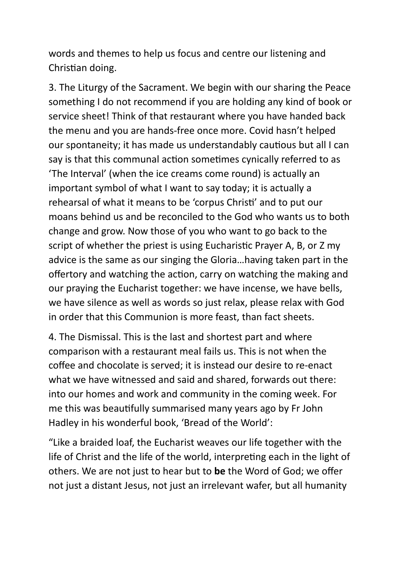words and themes to help us focus and centre our listening and Christian doing.

3. The Liturgy of the Sacrament. We begin with our sharing the Peace something I do not recommend if you are holding any kind of book or service sheet! Think of that restaurant where you have handed back the menu and you are hands-free once more. Covid hasn't helped our spontaneity; it has made us understandably cautious but all I can say is that this communal action sometimes cynically referred to as 'The Interval' (when the ice creams come round) is actually an important symbol of what I want to say today; it is actually a rehearsal of what it means to be 'corpus Christi' and to put our moans behind us and be reconciled to the God who wants us to both change and grow. Now those of you who want to go back to the script of whether the priest is using Eucharistic Prayer A, B, or Z my advice is the same as our singing the Gloria…having taken part in the offertory and watching the action, carry on watching the making and our praying the Eucharist together: we have incense, we have bells, we have silence as well as words so just relax, please relax with God in order that this Communion is more feast, than fact sheets.

4. The Dismissal. This is the last and shortest part and where comparison with a restaurant meal fails us. This is not when the coffee and chocolate is served; it is instead our desire to re-enact what we have witnessed and said and shared, forwards out there: into our homes and work and community in the coming week. For me this was beautifully summarised many years ago by Fr John Hadley in his wonderful book, 'Bread of the World':

"Like a braided loaf, the Eucharist weaves our life together with the life of Christ and the life of the world, interpreting each in the light of others. We are not just to hear but to **be** the Word of God; we offer not just a distant Jesus, not just an irrelevant wafer, but all humanity